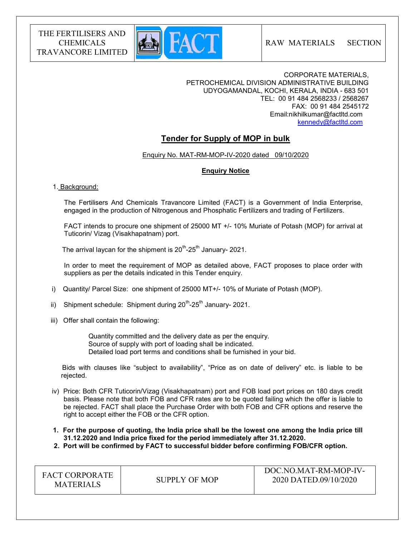

RAW MATERIALS SECTION

CORPORATE MATERIALS, PETROCHEMICAL DIVISION ADMINISTRATIVE BUILDING UDYOGAMANDAL, KOCHI, KERALA, INDIA - 683 501 TEL: 00 91 484 2568233 / 2568267 FAX: 00 91 484 2545172 Email:nikhilkumar@factltd.com kennedy@factltd.com

## Tender for Supply of MOP in bulk

Enquiry No. MAT-RM-MOP-IV-2020 dated 09/10/2020

## Enquiry Notice

## 1. Background:

 The Fertilisers And Chemicals Travancore Limited (FACT) is a Government of India Enterprise, engaged in the production of Nitrogenous and Phosphatic Fertilizers and trading of Fertilizers.

 FACT intends to procure one shipment of 25000 MT +/- 10% Muriate of Potash (MOP) for arrival at Tuticorin/ Vizag (Visakhapatnam) port.

The arrival laycan for the shipment is  $20^{th}$ - $25^{th}$  January- 2021.

 In order to meet the requirement of MOP as detailed above, FACT proposes to place order with suppliers as per the details indicated in this Tender enquiry.

- i) Quantity/ Parcel Size: one shipment of 25000 MT+/- 10% of Muriate of Potash (MOP).
- ii) Shipment schedule: Shipment during  $20^{th}$ - $25^{th}$  January- 2021.
- iii) Offer shall contain the following:

 Quantity committed and the delivery date as per the enquiry. Source of supply with port of loading shall be indicated. Detailed load port terms and conditions shall be furnished in your bid.

 Bids with clauses like "subject to availability", "Price as on date of delivery" etc. is liable to be rejected.

 iv) Price: Both CFR Tuticorin/Vizag (Visakhapatnam) port and FOB load port prices on 180 days credit basis. Please note that both FOB and CFR rates are to be quoted failing which the offer is liable to be rejected. FACT shall place the Purchase Order with both FOB and CFR options and reserve the right to accept either the FOB or the CFR option.

 1. For the purpose of quoting, the India price shall be the lowest one among the India price till 31.12.2020 and India price fixed for the period immediately after 31.12.2020.

2. Port will be confirmed by FACT to successful bidder before confirming FOB/CFR option.

| <b>FACT CORPORATE</b><br><b>MATERIALS</b> | SUPPLY OF MOP | DOC.NO.MAT-RM-MOP-IV-<br>2020 DATED.09/10/2020 |
|-------------------------------------------|---------------|------------------------------------------------|
|-------------------------------------------|---------------|------------------------------------------------|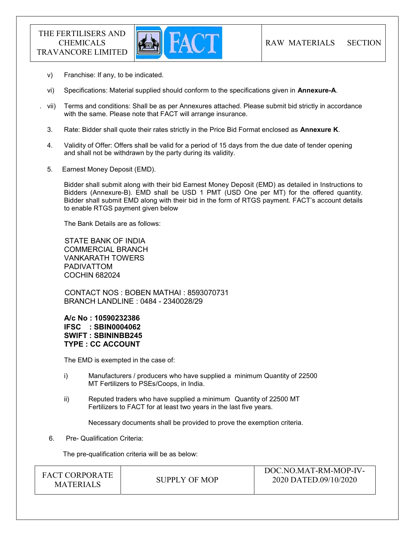

- v) Franchise: If any, to be indicated.
- vi) Specifications: Material supplied should conform to the specifications given in Annexure-A.
- . vii) Terms and conditions: Shall be as per Annexures attached. Please submit bid strictly in accordance with the same. Please note that FACT will arrange insurance.
- 3. Rate: Bidder shall quote their rates strictly in the Price Bid Format enclosed as Annexure K.
- 4. Validity of Offer: Offers shall be valid for a period of 15 days from the due date of tender opening and shall not be withdrawn by the party during its validity.
- 5. Earnest Money Deposit (EMD).

Bidder shall submit along with their bid Earnest Money Deposit (EMD) as detailed in Instructions to Bidders (Annexure-B). EMD shall be USD 1 PMT (USD One per MT) for the offered quantity. Bidder shall submit EMD along with their bid in the form of RTGS payment. FACT's account details to enable RTGS payment given below

The Bank Details are as follows:

 STATE BANK OF INDIA COMMERCIAL BRANCH VANKARATH TOWERS PADIVATTOM COCHIN 682024

 CONTACT NOS : BOBEN MATHAI : 8593070731 BRANCH LANDLINE : 0484 - 2340028/29

A/c No : 10590232386 IFSC : SBIN0004062 SWIFT : SBININBB245 TYPE : CC ACCOUNT

The EMD is exempted in the case of:

- i) Manufacturers / producers who have supplied a minimum Quantity of 22500 MT Fertilizers to PSEs/Coops, in India.
- ii) Reputed traders who have supplied a minimum Quantity of 22500 MT Fertilizers to FACT for at least two years in the last five years.

Necessary documents shall be provided to prove the exemption criteria.

6. Pre- Qualification Criteria:

The pre-qualification criteria will be as below:

| <b>FACT CORPORATE</b><br>SUPPLY OF MOP<br><b>MATERIALS</b> | DOC.NO.MAT-RM-MOP-IV-<br>2020 DATED.09/10/2020 |
|------------------------------------------------------------|------------------------------------------------|
|------------------------------------------------------------|------------------------------------------------|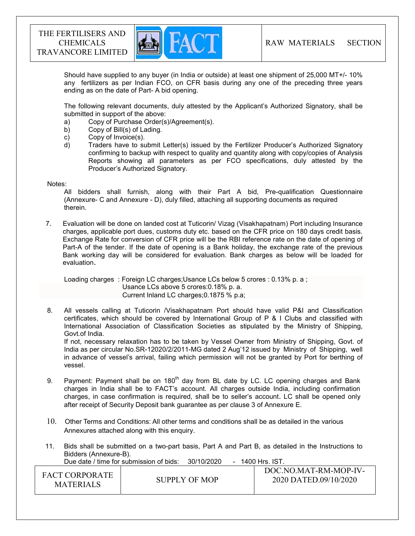

Should have supplied to any buyer (in India or outside) at least one shipment of 25,000 MT+/- 10% any fertilizers as per Indian FCO, on CFR basis during any one of the preceding three years ending as on the date of Part- A bid opening.

The following relevant documents, duly attested by the Applicant's Authorized Signatory, shall be submitted in support of the above:

- a) Copy of Purchase Order(s)/Agreement(s).
- b) Copy of Bill(s) of Lading.
- c) Copy of Invoice(s).
- d) Traders have to submit Letter(s) issued by the Fertilizer Producer's Authorized Signatory confirming to backup with respect to quality and quantity along with copy/copies of Analysis Reports showing all parameters as per FCO specifications, duly attested by the Producer's Authorized Signatory.

#### Notes:

 All bidders shall furnish, along with their Part A bid, Pre-qualification Questionnaire (Annexure- C and Annexure - D), duly filled, attaching all supporting documents as required therein.

7. Evaluation will be done on landed cost at Tuticorin/ Vizag (Visakhapatnam) Port including Insurance charges, applicable port dues, customs duty etc. based on the CFR price on 180 days credit basis. Exchange Rate for conversion of CFR price will be the RBI reference rate on the date of opening of Part-A of the tender. If the date of opening is a Bank holiday, the exchange rate of the previous Bank working day will be considered for evaluation. Bank charges as below will be loaded for evaluation.

 Loading charges : Foreign LC charges;Usance LCs below 5 crores : 0.13% p. a ; Usance LCs above 5 crores:0.18% p. a. Current Inland LC charges;0.1875 % p.a;

 8. All vessels calling at Tuticorin /Visakhapatnam Port should have valid P&I and Classification certificates, which should be covered by International Group of P & I Clubs and classified with International Association of Classification Societies as stipulated by the Ministry of Shipping, Govt.of India.

 If not, necessary relaxation has to be taken by Vessel Owner from Ministry of Shipping, Govt. of India as per circular No.SR-12020/2/2011-MG dated 2 Aug'12 issued by Ministry of Shipping, well in advance of vessel's arrival, failing which permission will not be granted by Port for berthing of vessel.

- 9. Payment: Payment shall be on  $180<sup>th</sup>$  day from BL date by LC. LC opening charges and Bank charges in India shall be to FACT's account. All charges outside India, including confirmation charges, in case confirmation is required, shall be to seller's account. LC shall be opened only after receipt of Security Deposit bank guarantee as per clause 3 of Annexure E.
- 10. Other Terms and Conditions: All other terms and conditions shall be as detailed in the various Annexures attached along with this enquiry.
- 11. Bids shall be submitted on a two-part basis, Part A and Part B, as detailed in the Instructions to Bidders (Annexure-B).

Due date / time for submission of bids: 30/10/2020 - 1400 Hrs. IST.

| <b>FACT CORPORATE</b><br>2020 DATED.09/10/2020<br>SUPPLY OF MOP<br><b>MATERIALS</b> | DOC.NO.MAT-RM-MOP-IV- |  |  |
|-------------------------------------------------------------------------------------|-----------------------|--|--|
|-------------------------------------------------------------------------------------|-----------------------|--|--|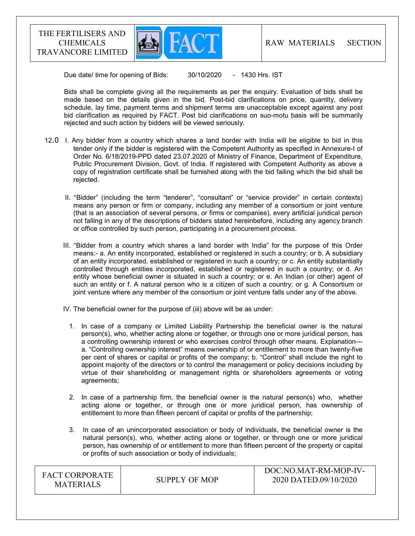

Due date/ time for opening of Bids:  $30/10/2020 - 1430$  Hrs. IST

 Bids shall be complete giving all the requirements as per the enquiry. Evaluation of bids shall be made based on the details given in the bid. Post-bid clarifications on price, quantity, delivery schedule, lay time, payment terms and shipment terms are unacceptable except against any post bid clarification as required by FACT. Post bid clarifications on suo-motu basis will be summarily rejected and such action by bidders will be viewed seriously.

- 12.0 I. Any bidder from a country which shares a land border with India will be eligible to bid in this tender only if the bidder is registered with the Competent Authority as specified in Annexure-I of Order No. 6/18/2019-PPD dated 23.07.2020 of Ministry of Finance, Department of Expenditure, Public Procurement Division, Govt. of India. If registered with Competent Authority as above a copy of registration certificate shall be furnished along with the bid failing which the bid shall be rejected.
	- II. "Bidder" (including the term "tenderer", "consultant" or "service provider" in certain contexts) means any person or firm or company, including any member of a consortium or joint venture (that is an association of several persons, or firms or companies), every artificial juridical person not falling in any of the descriptions of bidders stated hereinbefore, including any agency branch or office controlled by such person, participating in a procurement process.
	- III. "Bidder from a country which shares a land border with India" for the purpose of this Order means:- a. An entity incorporated, established or registered in such a country; or b. A subsidiary of an entity incorporated, established or registered in such a country; or c. An entity substantially controlled through entities incorporated, established or registered in such a country; or d. An entity whose beneficial owner is situated in such a country; or e. An Indian (or other) agent of such an entity or f. A natural person who is a citizen of such a country; or g. A Consortium or joint venture where any member of the consortium or joint venture falls under any of the above.
	- IV. The beneficial owner for the purpose of (iii) above will be as under:
		- 1. In case of a company or Limited Liability Partnership the beneficial owner is the natural person(s), who, whether acting alone or together, or through one or more juridical person, has a controlling ownership interest or who exercises control through other means. Explanation-- a. "Controlling ownership interest" means ownership of or entitlement to more than twenty-five per cent of shares or capital or profits of the company; b. "Control" shall include the right to appoint majority of the directors or to control the management or policy decisions including by virtue of their shareholding or management rights or shareholders agreements or voting agreements;
		- 2. In case of a partnership firm, the beneficial owner is the natural person(s) who, whether acting alone or together, or through one or more juridical person, has ownership of entitlement to more than fifteen percent of capital or profits of the partnership;
		- 3. In case of an unincorporated association or body of individuals, the beneficial owner is the natural person(s), who, whether acting alone or together, or through one or more juridical person, has ownership of or entitlement to more than fifteen percent of the property or capital or profits of such association or body of individuals;

| <b>FACT CORPORATE</b><br><b>MATERIALS</b> | SUPPLY OF MOP | DOC.NO.MAT-RM-MOP-IV-<br>2020 DATED.09/10/2020 |
|-------------------------------------------|---------------|------------------------------------------------|
|-------------------------------------------|---------------|------------------------------------------------|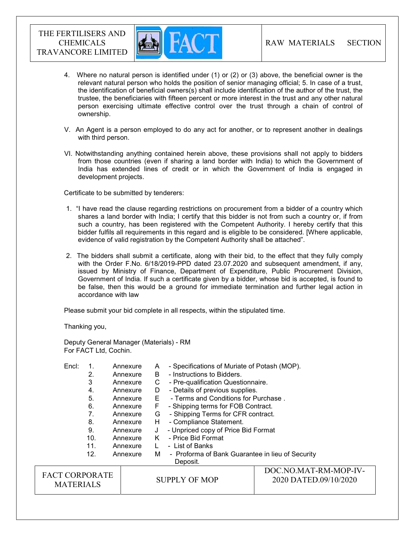

- 4. Where no natural person is identified under (1) or (2) or (3) above, the beneficial owner is the relevant natural person who holds the position of senior managing official; 5. In case of a trust, the identification of beneficial owners(s) shall include identification of the author of the trust, the trustee, the beneficiaries with fifteen percent or more interest in the trust and any other natural person exercising ultimate effective control over the trust through a chain of control of ownership.
- V. An Agent is a person employed to do any act for another, or to represent another in dealings with third person.
- VI. Notwithstanding anything contained herein above, these provisions shall not apply to bidders from those countries (even if sharing a land border with India) to which the Government of India has extended lines of credit or in which the Government of India is engaged in development projects.

Certificate to be submitted by tenderers:

- 1. "I have read the clause regarding restrictions on procurement from a bidder of a country which shares a land border with India; I certify that this bidder is not from such a country or, if from such a country, has been registered with the Competent Authority. I hereby certify that this bidder fulfils all requirements in this regard and is eligible to be considered. [Where applicable, evidence of valid registration by the Competent Authority shall be attached".
- 2. The bidders shall submit a certificate, along with their bid, to the effect that they fully comply with the Order F.No. 6/18/2019-PPD dated 23.07.2020 and subsequent amendment, if any, issued by Ministry of Finance, Department of Expenditure, Public Procurement Division, Government of India. If such a certificate given by a bidder, whose bid is accepted, is found to be false, then this would be a ground for immediate termination and further legal action in accordance with law

Please submit your bid complete in all respects, within the stipulated time.

Thanking you,

Deputy General Manager (Materials) - RM For FACT Ltd, Cochin.

| Encl:                 |     | Annexure | A | - Specifications of Muriate of Potash (MOP).     |                       |
|-----------------------|-----|----------|---|--------------------------------------------------|-----------------------|
|                       | 2.  | Annexure | B | - Instructions to Bidders.                       |                       |
|                       | 3   | Annexure | С | - Pre-qualification Questionnaire.               |                       |
|                       | 4.  | Annexure | D | - Details of previous supplies.                  |                       |
|                       | 5.  | Annexure | Е | - Terms and Conditions for Purchase.             |                       |
|                       | 6.  | Annexure | F | - Shipping terms for FOB Contract.               |                       |
|                       | 7.  | Annexure | G | - Shipping Terms for CFR contract.               |                       |
|                       | 8.  | Annexure | H | - Compliance Statement.                          |                       |
|                       | 9.  | Annexure | J | - Unpriced copy of Price Bid Format              |                       |
|                       | 10. | Annexure | ĸ | - Price Bid Format                               |                       |
|                       | 11. | Annexure |   | - List of Banks                                  |                       |
|                       | 12. | Annexure | М | - Proforma of Bank Guarantee in lieu of Security |                       |
|                       |     |          |   | Deposit.                                         |                       |
|                       |     |          |   |                                                  | DOC.NO.MAT-RM-MOP-IV- |
| <b>FACT CORPORATE</b> |     |          |   | <b>SUPPLY OF MOP</b>                             | 2020 DATED.09/10/2020 |
| <b>MATERIALS</b>      |     |          |   |                                                  |                       |
|                       |     |          |   |                                                  |                       |
|                       |     |          |   |                                                  |                       |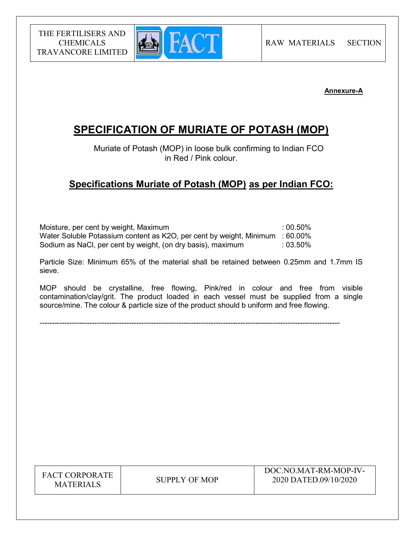

## Annexure-A

# SPECIFICATION OF MURIATE OF POTASH (MOP)

 Muriate of Potash (MOP) in loose bulk confirming to Indian FCO in Red / Pink colour.

## Specifications Muriate of Potash (MOP) as per Indian FCO:

Moisture, per cent by weight, Maximum  $\cdot$  00.50% Water Soluble Potassium content as K2O, per cent by weight, Minimum : 60.00% Sodium as NaCl, per cent by weight, (on dry basis), maximum : 03.50%

Particle Size: Minimum 65% of the material shall be retained between 0.25mm and 1.7mm IS sieve.

MOP should be crystalline, free flowing, Pink/red in colour and free from visible contamination/clay/grit. The product loaded in each vessel must be supplied from a single source/mine. The colour & particle size of the product should b uniform and free flowing.

-------------------------------------------------------------------------------------------------------------------------

FACT CORPORATE ET CONFONATE SUPPLY OF MOP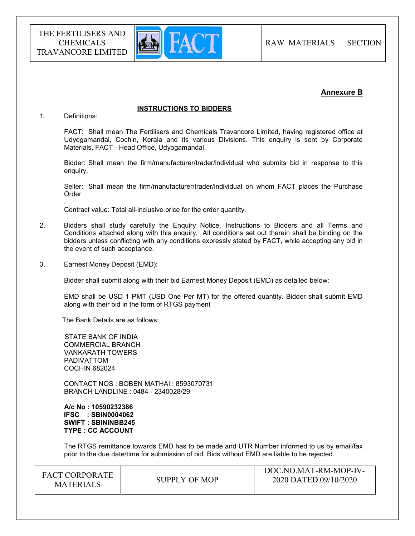

## Annexure B

#### INSTRUCTIONS TO BIDDERS

#### 1. Definitions:

.

FACT: Shall mean The Fertilisers and Chemicals Travancore Limited, having registered office at Udyogamandal, Cochin, Kerala and its various Divisions. This enquiry is sent by Corporate Materials, FACT - Head Office, Udyogamandal.

Bidder: Shall mean the firm/manufacturer/trader/individual who submits bid in response to this enquiry.

Seller: Shall mean the firm/manufacturer/trader/individual on whom FACT places the Purchase **Order** 

Contract value: Total all-inclusive price for the order quantity.

- 2. Bidders shall study carefully the Enquiry Notice, Instructions to Bidders and all Terms and Conditions attached along with this enquiry. All conditions set out therein shall be binding on the bidders unless conflicting with any conditions expressly stated by FACT, while accepting any bid in the event of such acceptance.
- 3. Earnest Money Deposit (EMD):

Bidder shall submit along with their bid Earnest Money Deposit (EMD) as detailed below:

EMD shall be USD 1 PMT (USD One Per MT) for the offered quantity. Bidder shall submit EMD along with their bid in the form of RTGS payment

The Bank Details are as follows:

 STATE BANK OF INDIA COMMERCIAL BRANCH VANKARATH TOWERS PADIVATTOM COCHIN 682024

 CONTACT NOS : BOBEN MATHAI : 8593070731 BRANCH LANDLINE : 0484 - 2340028/29

 A/c No : 10590232386 IFSC : SBIN0004062 SWIFT : SBININBB245 TYPE : CC ACCOUNT

The RTGS remittance towards EMD has to be made and UTR Number informed to us by email/fax prior to the due date/time for submission of bid. Bids without EMD are liable to be rejected.

| <b>FACT CORPORATE</b><br><b>MATERIALS</b> | SUPPLY OF MOP | DOC.NO.MAT-RM-MOP-IV-<br>2020 DATED.09/10/2020 |  |
|-------------------------------------------|---------------|------------------------------------------------|--|
|-------------------------------------------|---------------|------------------------------------------------|--|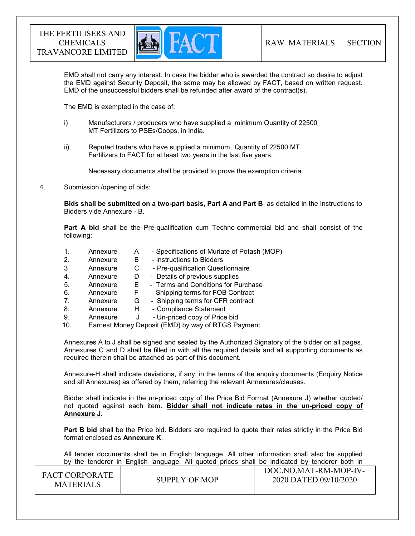

EMD shall not carry any interest. In case the bidder who is awarded the contract so desire to adjust the EMD against Security Deposit, the same may be allowed by FACT, based on written request. EMD of the unsuccessful bidders shall be refunded after award of the contract(s).

The EMD is exempted in the case of:

- i) Manufacturers / producers who have supplied a minimum Quantity of 22500 MT Fertilizers to PSEs/Coops, in India.
- ii) Reputed traders who have supplied a minimum Quantity of 22500 MT Fertilizers to FACT for at least two years in the last five years.

Necessary documents shall be provided to prove the exemption criteria.

4. Submission /opening of bids:

Bids shall be submitted on a two-part basis, Part A and Part B, as detailed in the Instructions to Bidders vide Annexure - B.

Part A bid shall be the Pre-qualification cum Techno-commercial bid and shall consist of the following:

- 1. Annexure A Specifications of Muriate of Potash (MOP) 2. Annexure B - Instructions to Bidders
- 3 Annexure C Pre-qualification Questionnaire
- 4. Annexure D Details of previous supplies
- 5. Annexure E Terms and Conditions for Purchase
- 6. Annexure F Shipping terms for FOB Contract
- 7. Annexure G Shipping terms for CFR contract
- 8. Annexure H Compliance Statement
- 9. Annexure J Un-priced copy of Price bid
- 10. Earnest Money Deposit (EMD) by way of RTGS Payment.

Annexures A to J shall be signed and sealed by the Authorized Signatory of the bidder on all pages. Annexures C and D shall be filled in with all the required details and all supporting documents as required therein shall be attached as part of this document.

Annexure-H shall indicate deviations, if any, in the terms of the enquiry documents (Enquiry Notice and all Annexures) as offered by them, referring the relevant Annexures/clauses.

Bidder shall indicate in the un-priced copy of the Price Bid Format (Annexure J) whether quoted/ not quoted against each item. Bidder shall not indicate rates in the un-priced copy of Annexure J.

**Part B bid** shall be the Price bid. Bidders are required to quote their rates strictly in the Price Bid format enclosed as Annexure K.

 All tender documents shall be in English language. All other information shall also be supplied by the tenderer in English language. All quoted prices shall be indicated by tenderer both in

| <b>FACT CORPORATE</b><br><b>MATERIALS</b> | SUPPLY OF MOP | DOC.NO.MAT-RM-MOP-IV-<br>2020 DATED.09/10/2020 |
|-------------------------------------------|---------------|------------------------------------------------|
|                                           |               |                                                |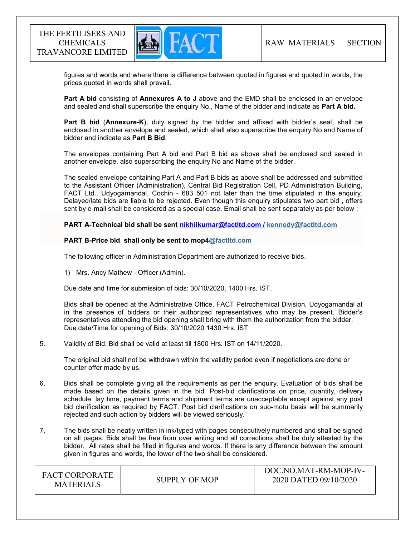

 figures and words and where there is difference between quoted in figures and quoted in words, the prices quoted in words shall prevail.

Part A bid consisting of Annexures A to J above and the EMD shall be enclosed in an envelope and sealed and shall superscribe the enquiry No., Name of the bidder and indicate as Part A bid.

Part B bid (Annexure-K), duly signed by the bidder and affixed with bidder's seal, shall be enclosed in another envelope and sealed, which shall also superscribe the enquiry No and Name of bidder and indicate as Part B Bid.

The envelopes containing Part A bid and Part B bid as above shall be enclosed and sealed in another envelope, also superscribing the enquiry No and Name of the bidder.

The sealed envelope containing Part A and Part B bids as above shall be addressed and submitted to the Assistant Officer (Administration), Central Bid Registration Cell, PD Administration Building, FACT Ltd., Udyogamandal, Cochin - 683 501 not later than the time stipulated in the enquiry. Delayed/late bids are liable to be rejected. Even though this enquiry stipulates two part bid , offers sent by e-mail shall be considered as a special case. Email shall be sent separately as per below ;

PART A-Technical bid shall be sent nikhilkumar@factltd.com / kennedy@factltd.com

#### PART B-Price bid shall only be sent to mop4@factltd.com

The following officer in Administration Department are authorized to receive bids.

1) Mrs. Ancy Mathew - Officer (Admin).

Due date and time for submission of bids: 30/10/2020, 1400 Hrs. IST.

Bids shall be opened at the Administrative Office, FACT Petrochemical Division, Udyogamandal at in the presence of bidders or their authorized representatives who may be present. Bidder's representatives attending the bid opening shall bring with them the authorization from the bidder. Due date/Time for opening of Bids: 30/10/2020 1430 Hrs. IST

#### 5. Validity of Bid: Bid shall be valid at least till 1800 Hrs. IST on 14/11/2020.

The original bid shall not be withdrawn within the validity period even if negotiations are done or counter offer made by us.

- 6. Bids shall be complete giving all the requirements as per the enquiry. Evaluation of bids shall be made based on the details given in the bid. Post-bid clarifications on price, quantity, delivery schedule, lay time, payment terms and shipment terms are unacceptable except against any post bid clarification as required by FACT. Post bid clarifications on suo-motu basis will be summarily rejected and such action by bidders will be viewed seriously.
- 7. The bids shall be neatly written in ink/typed with pages consecutively numbered and shall be signed on all pages. Bids shall be free from over writing and all corrections shall be duly attested by the bidder. All rates shall be filled in figures and words. If there is any difference between the amount given in figures and words, the lower of the two shall be considered.

| <b>FACT CORPORATE</b><br><b>MATERIALS</b> | SUPPLY OF MOP | DOC.NO.MAT-RM-MOP-IV-<br>2020 DATED.09/10/2020 |
|-------------------------------------------|---------------|------------------------------------------------|
|-------------------------------------------|---------------|------------------------------------------------|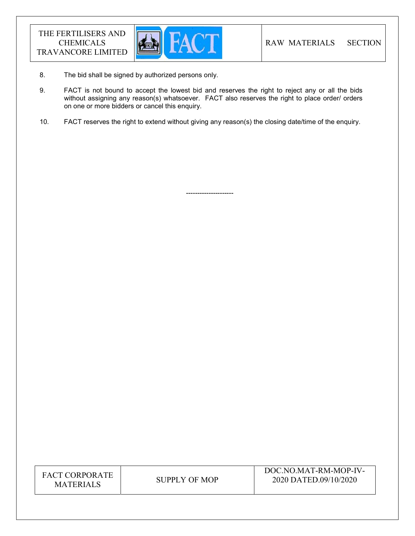

8. The bid shall be signed by authorized persons only.

---------------------

- 9. FACT is not bound to accept the lowest bid and reserves the right to reject any or all the bids without assigning any reason(s) whatsoever. FACT also reserves the right to place order/ orders on one or more bidders or cancel this enquiry.
- 10. FACT reserves the right to extend without giving any reason(s) the closing date/time of the enquiry.

| FACT CORPORATE   |
|------------------|
| <b>MATERIALS</b> |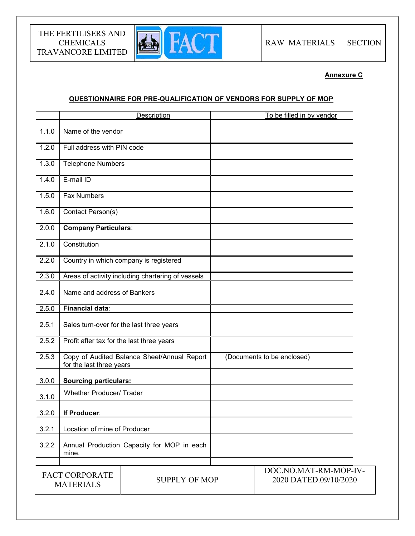

Annexure C

## QUESTIONNAIRE FOR PRE-QUALIFICATION OF VENDORS FOR SUPPLY OF MOP

|       | Description                                                             | To be filled in by vendor                      |
|-------|-------------------------------------------------------------------------|------------------------------------------------|
| 1.1.0 | Name of the vendor                                                      |                                                |
| 1.2.0 | Full address with PIN code                                              |                                                |
| 1.3.0 | <b>Telephone Numbers</b>                                                |                                                |
| 1.4.0 | E-mail ID                                                               |                                                |
| 1.5.0 | <b>Fax Numbers</b>                                                      |                                                |
| 1.6.0 | Contact Person(s)                                                       |                                                |
| 2.0.0 | <b>Company Particulars:</b>                                             |                                                |
| 2.1.0 | Constitution                                                            |                                                |
| 2.2.0 | Country in which company is registered                                  |                                                |
| 2.3.0 | Areas of activity including chartering of vessels                       |                                                |
| 2.4.0 | Name and address of Bankers                                             |                                                |
| 2.5.0 | <b>Financial data:</b>                                                  |                                                |
| 2.5.1 | Sales turn-over for the last three years                                |                                                |
| 2.5.2 | Profit after tax for the last three years                               |                                                |
| 2.5.3 | Copy of Audited Balance Sheet/Annual Report<br>for the last three years | (Documents to be enclosed)                     |
| 3.0.0 | <b>Sourcing particulars:</b>                                            |                                                |
| 3.1.0 | <b>Whether Producer/ Trader</b>                                         |                                                |
| 3.2.0 | If Producer:                                                            |                                                |
| 3.2.1 | Location of mine of Producer                                            |                                                |
| 3.2.2 | Annual Production Capacity for MOP in each<br>mine.                     |                                                |
|       | <b>FACT CORPORATE</b><br><b>SUPPLY OF MOP</b><br><b>MATERIALS</b>       | DOC.NO.MAT-RM-MOP-IV-<br>2020 DATED.09/10/2020 |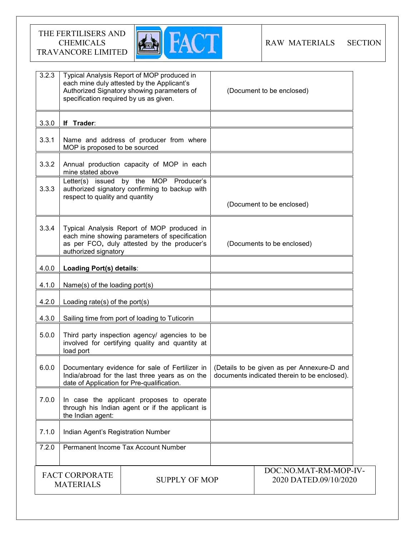

| 3.2.3                                                             | specification required by us as given.                                                                                                                             | Typical Analysis Report of MOP produced in<br>each mine duly attested by the Applicant's<br>Authorized Signatory showing parameters of | (Document to be enclosed)                                                                  |
|-------------------------------------------------------------------|--------------------------------------------------------------------------------------------------------------------------------------------------------------------|----------------------------------------------------------------------------------------------------------------------------------------|--------------------------------------------------------------------------------------------|
| 3.3.0                                                             | If Trader:                                                                                                                                                         |                                                                                                                                        |                                                                                            |
| 3.3.1                                                             | MOP is proposed to be sourced                                                                                                                                      | Name and address of producer from where                                                                                                |                                                                                            |
| 3.3.2                                                             | mine stated above                                                                                                                                                  | Annual production capacity of MOP in each                                                                                              |                                                                                            |
| 3.3.3                                                             | respect to quality and quantity                                                                                                                                    | Letter(s) issued by the MOP Producer's<br>authorized signatory confirming to backup with                                               | (Document to be enclosed)                                                                  |
| 3.3.4                                                             | Typical Analysis Report of MOP produced in<br>each mine showing parameters of specification<br>as per FCO, duly attested by the producer's<br>authorized signatory |                                                                                                                                        | (Documents to be enclosed)                                                                 |
| 4.0.0                                                             | Loading Port(s) details:                                                                                                                                           |                                                                                                                                        |                                                                                            |
| 4.1.0                                                             | Name(s) of the loading port(s)                                                                                                                                     |                                                                                                                                        |                                                                                            |
| 4.2.0                                                             | Loading rate(s) of the port(s)                                                                                                                                     |                                                                                                                                        |                                                                                            |
| 4.3.0                                                             | Sailing time from port of loading to Tuticorin                                                                                                                     |                                                                                                                                        |                                                                                            |
| 5.0.0                                                             | Third party inspection agency/ agencies to be<br>involved for certifying quality and quantity at<br>load port                                                      |                                                                                                                                        |                                                                                            |
| 6.0.0                                                             | Documentary evidence for sale of Fertilizer in<br>India/abroad for the last three years as on the<br>date of Application for Pre-qualification.                    |                                                                                                                                        | (Details to be given as per Annexure-D and<br>documents indicated therein to be enclosed). |
| 7.0.0                                                             | In case the applicant proposes to operate<br>through his Indian agent or if the applicant is<br>the Indian agent:                                                  |                                                                                                                                        |                                                                                            |
| 7.1.0                                                             | Indian Agent's Registration Number                                                                                                                                 |                                                                                                                                        |                                                                                            |
| 7.2.0                                                             |                                                                                                                                                                    | Permanent Income Tax Account Number                                                                                                    |                                                                                            |
| <b>FACT CORPORATE</b><br><b>SUPPLY OF MOP</b><br><b>MATERIALS</b> |                                                                                                                                                                    | DOC.NO.MAT-RM-MOP-IV-<br>2020 DATED.09/10/2020                                                                                         |                                                                                            |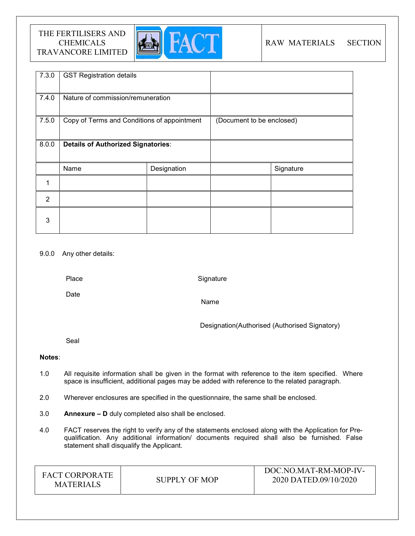

## RAW MATERIALS SECTION

| 7.3.0          | <b>GST Registration details</b>             |             |                           |           |
|----------------|---------------------------------------------|-------------|---------------------------|-----------|
| 7.4.0          | Nature of commission/remuneration           |             |                           |           |
| 7.5.0          | Copy of Terms and Conditions of appointment |             | (Document to be enclosed) |           |
| 8.0.0          | <b>Details of Authorized Signatories:</b>   |             |                           |           |
|                | Name                                        | Designation |                           | Signature |
|                |                                             |             |                           |           |
| $\overline{2}$ |                                             |             |                           |           |
| 3              |                                             |             |                           |           |

## 9.0.0 Any other details:

Place

**Signature** 

Date

Name

Designation(Authorised (Authorised Signatory)

Seal

## Notes:

- 1.0 All requisite information shall be given in the format with reference to the item specified. Where space is insufficient, additional pages may be added with reference to the related paragraph.
- 2.0 Wherever enclosures are specified in the questionnaire, the same shall be enclosed.
- 3.0 Annexure D duly completed also shall be enclosed.
- 4.0 FACT reserves the right to verify any of the statements enclosed along with the Application for Prequalification. Any additional information/ documents required shall also be furnished. False statement shall disqualify the Applicant.

| <b>FACT CORPORATE</b><br><b>MATERIALS</b> | SUPPLY OF MOP | DOC.NO.MAT-RM-MOP-IV-<br>2020 DATED.09/10/2020 |
|-------------------------------------------|---------------|------------------------------------------------|
|-------------------------------------------|---------------|------------------------------------------------|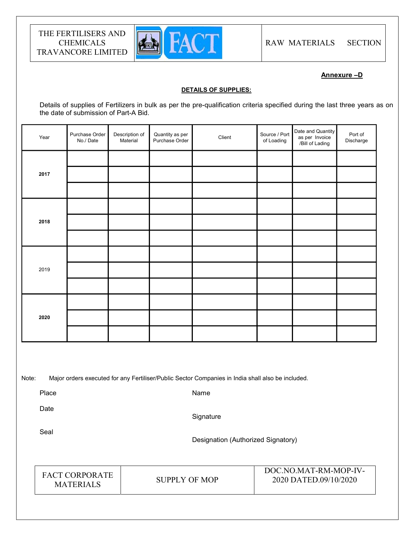

Annexure –D

#### DETAILS OF SUPPLIES:

Details of supplies of Fertilizers in bulk as per the pre-qualification criteria specified during the last three years as on the date of submission of Part-A Bid.

| Year | Purchase Order<br>No./Date | Description of<br>Material | Quantity as per<br>Purchase Order | Client | Source / Port<br>of Loading | Date and Quantity<br>as per Invoice<br>/Bill of Lading | Port of<br>Discharge |  |
|------|----------------------------|----------------------------|-----------------------------------|--------|-----------------------------|--------------------------------------------------------|----------------------|--|
|      |                            |                            |                                   |        |                             |                                                        |                      |  |
| 2017 |                            |                            |                                   |        |                             |                                                        |                      |  |
|      |                            |                            |                                   |        |                             |                                                        |                      |  |
|      |                            |                            |                                   |        |                             |                                                        |                      |  |
| 2018 |                            |                            |                                   |        |                             |                                                        |                      |  |
|      |                            |                            |                                   |        |                             |                                                        |                      |  |
|      |                            |                            |                                   |        |                             |                                                        |                      |  |
| 2019 |                            |                            |                                   |        |                             |                                                        |                      |  |
|      |                            |                            |                                   |        |                             |                                                        |                      |  |
|      |                            |                            |                                   |        |                             |                                                        |                      |  |
| 2020 |                            |                            |                                   |        |                             |                                                        |                      |  |
|      |                            |                            |                                   |        |                             |                                                        |                      |  |
|      |                            |                            |                                   |        |                             |                                                        |                      |  |

Note: Major orders executed for any Fertiliser/Public Sector Companies in India shall also be included.

Place

Name

Date

**Signature** 

Seal

Designation (Authorized Signatory)

FACT CORPORATE MATERIALS SUPPLY OF MOP

DOC.NO.MAT-RM-MOP-IV-2020 DATED.09/10/2020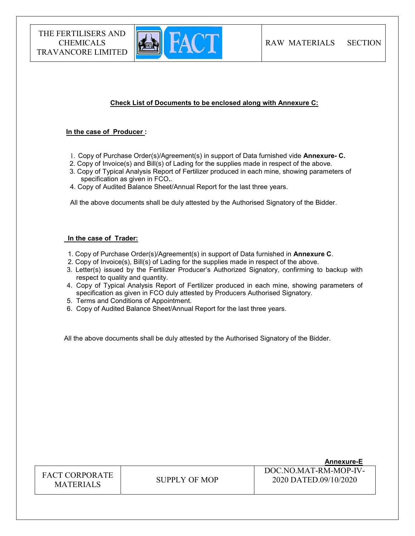

## Check List of Documents to be enclosed along with Annexure C:

#### In the case of Producer :

- 1. Copy of Purchase Order(s)/Agreement(s) in support of Data furnished vide Annexure- C.
- 2. Copy of Invoice(s) and Bill(s) of Lading for the supplies made in respect of the above.
- 3. Copy of Typical Analysis Report of Fertilizer produced in each mine, showing parameters of specification as given in FCO..
- 4. Copy of Audited Balance Sheet/Annual Report for the last three years.

All the above documents shall be duly attested by the Authorised Signatory of the Bidder.

#### In the case of Trader:

- 1. Copy of Purchase Order(s)/Agreement(s) in support of Data furnished in Annexure C.
- 2. Copy of Invoice(s), Bill(s) of Lading for the supplies made in respect of the above.
- 3. Letter(s) issued by the Fertilizer Producer's Authorized Signatory, confirming to backup with respect to quality and quantity.
- 4. Copy of Typical Analysis Report of Fertilizer produced in each mine, showing parameters of specification as given in FCO duly attested by Producers Authorised Signatory.
- 5. Terms and Conditions of Appointment.
- 6. Copy of Audited Balance Sheet/Annual Report for the last three years.

All the above documents shall be duly attested by the Authorised Signatory of the Bidder.

|                                           |               | <b>Annexure-E</b>                              |
|-------------------------------------------|---------------|------------------------------------------------|
| <b>FACT CORPORATE</b><br><b>MATERIALS</b> | SUPPLY OF MOP | DOC NO MAT-RM-MOP-IV-<br>2020 DATED.09/10/2020 |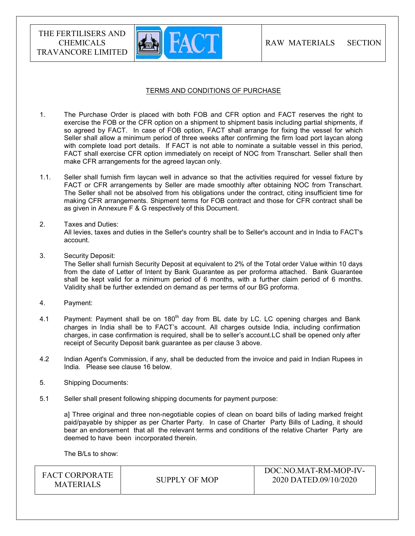

## TERMS AND CONDITIONS OF PURCHASE

- 1. The Purchase Order is placed with both FOB and CFR option and FACT reserves the right to exercise the FOB or the CFR option on a shipment to shipment basis including partial shipments, if so agreed by FACT. In case of FOB option, FACT shall arrange for fixing the vessel for which Seller shall allow a minimum period of three weeks after confirming the firm load port laycan along with complete load port details. If FACT is not able to nominate a suitable vessel in this period, FACT shall exercise CFR option immediately on receipt of NOC from Transchart. Seller shall then make CFR arrangements for the agreed laycan only.
- 1.1. Seller shall furnish firm laycan well in advance so that the activities required for vessel fixture by FACT or CFR arrangements by Seller are made smoothly after obtaining NOC from Transchart. The Seller shall not be absolved from his obligations under the contract, citing insufficient time for making CFR arrangements. Shipment terms for FOB contract and those for CFR contract shall be as given in Annexure F & G respectively of this Document.
- 2. Taxes and Duties:

All levies, taxes and duties in the Seller's country shall be to Seller's account and in India to FACT's account.

3. Security Deposit:

The Seller shall furnish Security Deposit at equivalent to 2% of the Total order Value within 10 days from the date of Letter of Intent by Bank Guarantee as per proforma attached. Bank Guarantee shall be kept valid for a minimum period of 6 months, with a further claim period of 6 months. Validity shall be further extended on demand as per terms of our BG proforma.

- 4. Payment:
- 4.1 Payment: Payment shall be on  $180<sup>th</sup>$  day from BL date by LC. LC opening charges and Bank charges in India shall be to FACT's account. All charges outside India, including confirmation charges, in case confirmation is required, shall be to seller's account.LC shall be opened only after receipt of Security Deposit bank guarantee as per clause 3 above.
- 4.2 Indian Agent's Commission, if any, shall be deducted from the invoice and paid in Indian Rupees in India. Please see clause 16 below.
- 5. Shipping Documents:
- 5.1 Seller shall present following shipping documents for payment purpose:

a] Three original and three non-negotiable copies of clean on board bills of lading marked freight paid/payable by shipper as per Charter Party. In case of Charter Party Bills of Lading, it should bear an endorsement that all the relevant terms and conditions of the relative Charter Party are deemed to have been incorporated therein.

The B/Ls to show: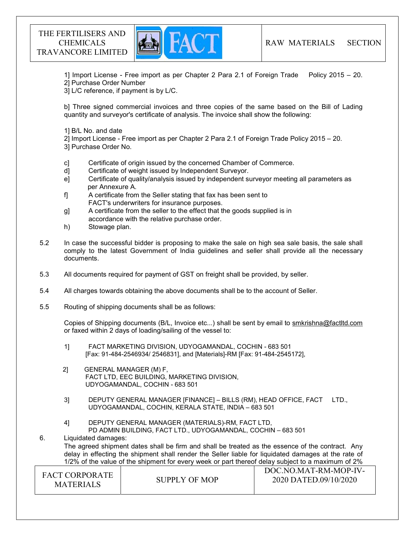

1] Import License - Free import as per Chapter 2 Para 2.1 of Foreign Trade Policy 2015 – 20. 2] Purchase Order Number

3] L/C reference, if payment is by L/C.

b] Three signed commercial invoices and three copies of the same based on the Bill of Lading quantity and surveyor's certificate of analysis. The invoice shall show the following:

1] B/L No. and date

2] Import License - Free import as per Chapter 2 Para 2.1 of Foreign Trade Policy 2015 – 20. 3] Purchase Order No.

- c] Certificate of origin issued by the concerned Chamber of Commerce.
- d] Certificate of weight issued by Independent Surveyor.
- e] Certificate of quality/analysis issued by independent surveyor meeting all parameters as per Annexure A.
- f] A certificate from the Seller stating that fax has been sent to FACT's underwriters for insurance purposes.
- g] A certificate from the seller to the effect that the goods supplied is in accordance with the relative purchase order.
- h) Stowage plan.
- 5.2 In case the successful bidder is proposing to make the sale on high sea sale basis, the sale shall comply to the latest Government of India guidelines and seller shall provide all the necessary documents.
- 5.3 All documents required for payment of GST on freight shall be provided, by seller.
- 5.4 All charges towards obtaining the above documents shall be to the account of Seller.
- 5.5 Routing of shipping documents shall be as follows:

 Copies of Shipping documents (B/L, Invoice etc...) shall be sent by email to smkrishna@factltd.com or faxed within 2 days of loading/sailing of the vessel to:

- 1] FACT MARKETING DIVISION, UDYOGAMANDAL, COCHIN 683 501 [Fax: 91-484-2546934/ 2546831], and [Materials]-RM [Fax: 91-484-2545172],
- 2] GENERAL MANAGER (M) F, FACT LTD, EEC BUILDING, MARKETING DIVISION, UDYOGAMANDAL, COCHIN - 683 501
- 3] DEPUTY GENERAL MANAGER [FINANCE] BILLS (RM), HEAD OFFICE, FACT LTD., UDYOGAMANDAL, COCHIN, KERALA STATE, INDIA – 683 501
- 4] DEPUTY GENERAL MANAGER (MATERIALS)-RM, FACT LTD, PD ADMIN BUILDING, FACT LTD., UDYOGAMANDAL, COCHIN – 683 501

6. Liquidated damages: The agreed shipment dates shall be firm and shall be treated as the essence of the contract. Any delay in effecting the shipment shall render the Seller liable for liquidated damages at the rate of 1/2% of the value of the shipment for every week or part thereof delay subject to a maximum of 2%

| <b>FACT CORPORATE</b><br>SUPPLY OF MOP<br><b>MATERIALS</b> | DOC.NO.MAT-RM-MOP-IV-<br>2020 DATED.09/10/2020 |
|------------------------------------------------------------|------------------------------------------------|
|------------------------------------------------------------|------------------------------------------------|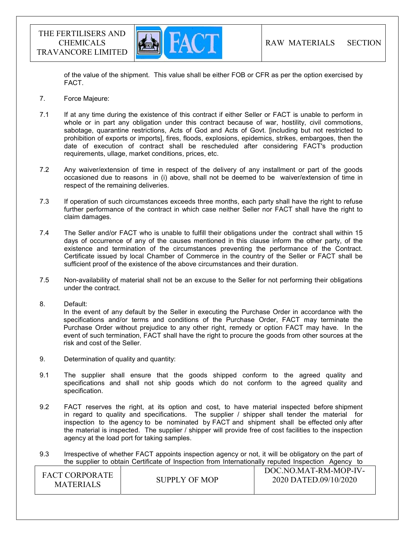

of the value of the shipment. This value shall be either FOB or CFR as per the option exercised by FACT.

- 7. Force Majeure:
- 7.1 If at any time during the existence of this contract if either Seller or FACT is unable to perform in whole or in part any obligation under this contract because of war, hostility, civil commotions, sabotage, quarantine restrictions, Acts of God and Acts of Govt. [including but not restricted to prohibition of exports or imports], fires, floods, explosions, epidemics, strikes, embargoes, then the date of execution of contract shall be rescheduled after considering FACT's production requirements, ullage, market conditions, prices, etc.
- 7.2 Any waiver/extension of time in respect of the delivery of any installment or part of the goods occasioned due to reasons in (i) above, shall not be deemed to be waiver/extension of time in respect of the remaining deliveries.
- 7.3 If operation of such circumstances exceeds three months, each party shall have the right to refuse further performance of the contract in which case neither Seller nor FACT shall have the right to claim damages.
- 7.4 The Seller and/or FACT who is unable to fulfill their obligations under the contract shall within 15 days of occurrence of any of the causes mentioned in this clause inform the other party, of the existence and termination of the circumstances preventing the performance of the Contract. Certificate issued by local Chamber of Commerce in the country of the Seller or FACT shall be sufficient proof of the existence of the above circumstances and their duration.
- 7.5 Non-availability of material shall not be an excuse to the Seller for not performing their obligations under the contract.
- 8. Default:

In the event of any default by the Seller in executing the Purchase Order in accordance with the specifications and/or terms and conditions of the Purchase Order, FACT may terminate the Purchase Order without prejudice to any other right, remedy or option FACT may have. In the event of such termination, FACT shall have the right to procure the goods from other sources at the risk and cost of the Seller.

- 9. Determination of quality and quantity:
- 9.1 The supplier shall ensure that the goods shipped conform to the agreed quality and specifications and shall not ship goods which do not conform to the agreed quality and specification.
- 9.2 FACT reserves the right, at its option and cost, to have material inspected before shipment in regard to quality and specifications. The supplier / shipper shall tender the material for inspection to the agency to be nominated by FACT and shipment shall be effected only after the material is inspected. The supplier / shipper will provide free of cost facilities to the inspection agency at the load port for taking samples.
- 9.3 Irrespective of whether FACT appoints inspection agency or not, it will be obligatory on the part of the supplier to obtain Certificate of Inspection from Internationally reputed Inspection Agency to

| <b>FACT CORPORATE</b><br>SUPPLY OF MOP<br><b>MATERIALS</b> | DOC.NO.MAT-RM-MOP-IV-<br>2020 DATED.09/10/2020 |
|------------------------------------------------------------|------------------------------------------------|
|------------------------------------------------------------|------------------------------------------------|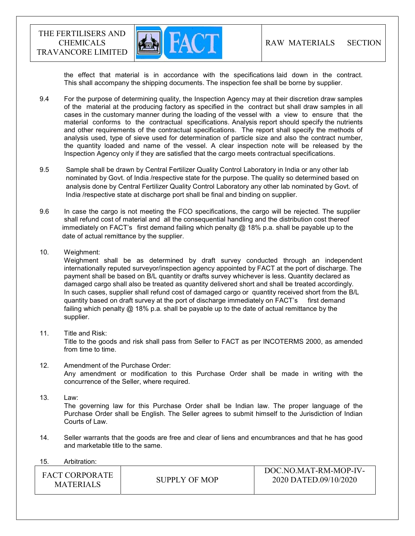

the effect that material is in accordance with the specifications laid down in the contract. This shall accompany the shipping documents. The inspection fee shall be borne by supplier.

- 9.4 For the purpose of determining quality, the Inspection Agency may at their discretion draw samples of the material at the producing factory as specified in the contract but shall draw samples in all cases in the customary manner during the loading of the vessel with a view to ensure that the material conforms to the contractual specifications. Analysis report should specify the nutrients and other requirements of the contractual specifications. The report shall specify the methods of analysis used, type of sieve used for determination of particle size and also the contract number, the quantity loaded and name of the vessel. A clear inspection note will be released by the Inspection Agency only if they are satisfied that the cargo meets contractual specifications.
- 9.5 Sample shall be drawn by Central Fertilizer Quality Control Laboratory in India or any other lab nominated by Govt. of India /respective state for the purpose. The quality so determined based on analysis done by Central Fertilizer Quality Control Laboratory any other lab nominated by Govt. of India /respective state at discharge port shall be final and binding on supplier.
- 9.6 In case the cargo is not meeting the FCO specifications, the cargo will be rejected. The supplier shall refund cost of material and all the consequential handling and the distribution cost thereof immediately on FACT's first demand failing which penalty  $@18\%$  p.a. shall be payable up to the date of actual remittance by the supplier.
- 10. Weighment:

 Weighment shall be as determined by draft survey conducted through an independent internationally reputed surveyor/inspection agency appointed by FACT at the port of discharge. The payment shall be based on B/L quantity or drafts survey whichever is less. Quantity declared as damaged cargo shall also be treated as quantity delivered short and shall be treated accordingly. In such cases, supplier shall refund cost of damaged cargo or quantity received short from the B/L quantity based on draft survey at the port of discharge immediately on FACT's first demand failing which penalty @ 18% p.a. shall be payable up to the date of actual remittance by the supplier.

11. Title and Risk:

Title to the goods and risk shall pass from Seller to FACT as per INCOTERMS 2000, as amended from time to time.

- 12. Amendment of the Purchase Order: Any amendment or modification to this Purchase Order shall be made in writing with the concurrence of the Seller, where required.
- 13. Law:

The governing law for this Purchase Order shall be Indian law. The proper language of the Purchase Order shall be English. The Seller agrees to submit himself to the Jurisdiction of Indian Courts of Law.

- 14. Seller warrants that the goods are free and clear of liens and encumbrances and that he has good and marketable title to the same.
- 15. Arbitration:

| <b>FACT CORPORATE</b><br><b>MATERIALS</b> | SUPPLY OF MOP | DOC.NO.MAT-RM-MOP-IV-<br>2020 DATED.09/10/2020 |
|-------------------------------------------|---------------|------------------------------------------------|
|-------------------------------------------|---------------|------------------------------------------------|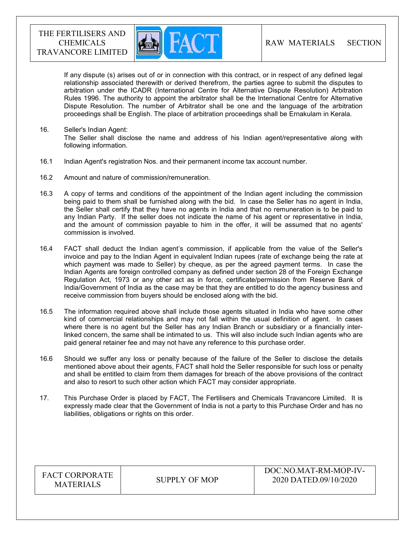

If any dispute (s) arises out of or in connection with this contract, or in respect of any defined legal relationship associated therewith or derived therefrom, the parties agree to submit the disputes to arbitration under the ICADR (International Centre for Alternative Dispute Resolution) Arbitration Rules 1996. The authority to appoint the arbitrator shall be the International Centre for Alternative Dispute Resolution. The number of Arbitrator shall be one and the language of the arbitration proceedings shall be English. The place of arbitration proceedings shall be Ernakulam in Kerala.

- 16. Seller's Indian Agent: The Seller shall disclose the name and address of his Indian agent/representative along with following information.
- 16.1 Indian Agent's registration Nos. and their permanent income tax account number.
- 16.2 Amount and nature of commission/remuneration.
- 16.3 A copy of terms and conditions of the appointment of the Indian agent including the commission being paid to them shall be furnished along with the bid. In case the Seller has no agent in India, the Seller shall certify that they have no agents in India and that no remuneration is to be paid to any Indian Party. If the seller does not indicate the name of his agent or representative in India, and the amount of commission payable to him in the offer, it will be assumed that no agents' commission is involved.
- 16.4 FACT shall deduct the Indian agent's commission, if applicable from the value of the Seller's invoice and pay to the Indian Agent in equivalent Indian rupees (rate of exchange being the rate at which payment was made to Seller) by cheque, as per the agreed payment terms. In case the Indian Agents are foreign controlled company as defined under section 28 of the Foreign Exchange Regulation Act, 1973 or any other act as in force, certificate/permission from Reserve Bank of India/Government of India as the case may be that they are entitled to do the agency business and receive commission from buyers should be enclosed along with the bid.
- 16.5 The information required above shall include those agents situated in India who have some other kind of commercial relationships and may not fall within the usual definition of agent. In cases where there is no agent but the Seller has any Indian Branch or subsidiary or a financially interlinked concern, the same shall be intimated to us. This will also include such Indian agents who are paid general retainer fee and may not have any reference to this purchase order.
- 16.6 Should we suffer any loss or penalty because of the failure of the Seller to disclose the details mentioned above about their agents, FACT shall hold the Seller responsible for such loss or penalty and shall be entitled to claim from them damages for breach of the above provisions of the contract and also to resort to such other action which FACT may consider appropriate.
- 17. This Purchase Order is placed by FACT, The Fertilisers and Chemicals Travancore Limited. It is expressly made clear that the Government of India is not a party to this Purchase Order and has no liabilities, obligations or rights on this order.

| <b>FACT CORPORATE</b><br><b>MATERIALS</b> | SUPPLY OF MOP | DOC NO MAT-RM-MOP-IV-<br>2020 DATED.09/10/2020 |
|-------------------------------------------|---------------|------------------------------------------------|
|                                           |               |                                                |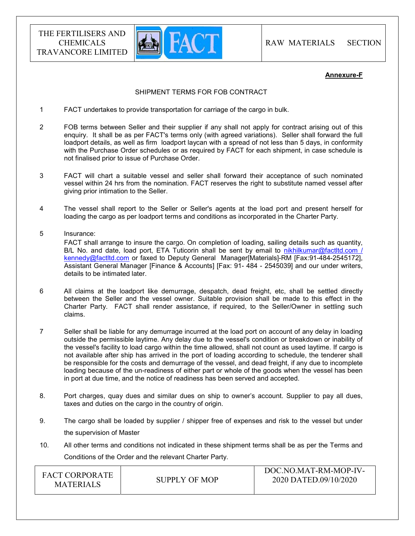

#### Annexure-F

#### SHIPMENT TERMS FOR FOB CONTRACT

- 1 FACT undertakes to provide transportation for carriage of the cargo in bulk.
- 2 FOB terms between Seller and their supplier if any shall not apply for contract arising out of this enquiry. It shall be as per FACT's terms only (with agreed variations). Seller shall forward the full loadport details, as well as firm loadport laycan with a spread of not less than 5 days, in conformity with the Purchase Order schedules or as required by FACT for each shipment, in case schedule is not finalised prior to issue of Purchase Order.
- 3 FACT will chart a suitable vessel and seller shall forward their acceptance of such nominated vessel within 24 hrs from the nomination. FACT reserves the right to substitute named vessel after giving prior intimation to the Seller.
- 4 The vessel shall report to the Seller or Seller's agents at the load port and present herself for loading the cargo as per loadport terms and conditions as incorporated in the Charter Party.
- 5 Insurance: FACT shall arrange to insure the cargo. On completion of loading, sailing details such as quantity, B/L No. and date, load port, ETA Tuticorin shall be sent by email to nikhilkumar@factltd.com / kennedy@factltd.com or faxed to Deputy General Manager[Materials]-RM [Fax:91-484-2545172], Assistant General Manager [Finance & Accounts] [Fax: 91- 484 - 2545039] and our under writers, details to be intimated later.
- 6 All claims at the loadport like demurrage, despatch, dead freight, etc, shall be settled directly between the Seller and the vessel owner. Suitable provision shall be made to this effect in the Charter Party. FACT shall render assistance, if required, to the Seller/Owner in settling such claims.
- 7 Seller shall be liable for any demurrage incurred at the load port on account of any delay in loading outside the permissible laytime. Any delay due to the vessel's condition or breakdown or inability of the vessel's facility to load cargo within the time allowed, shall not count as used laytime. If cargo is not available after ship has arrived in the port of loading according to schedule, the tenderer shall be responsible for the costs and demurrage of the vessel, and dead freight, if any due to incomplete loading because of the un-readiness of either part or whole of the goods when the vessel has been in port at due time, and the notice of readiness has been served and accepted.
- 8. Port charges, quay dues and similar dues on ship to owner's account. Supplier to pay all dues, taxes and duties on the cargo in the country of origin.
- 9. The cargo shall be loaded by supplier / shipper free of expenses and risk to the vessel but under the supervision of Master
- 10. All other terms and conditions not indicated in these shipment terms shall be as per the Terms and Conditions of the Order and the relevant Charter Party.

| <b>FACT CORPORATE</b><br>SUPPLY OF MOP<br><b>MATERIALS</b> | DOC.NO.MAT-RM-MOP-IV-<br>2020 DATED.09/10/2020 |
|------------------------------------------------------------|------------------------------------------------|
|------------------------------------------------------------|------------------------------------------------|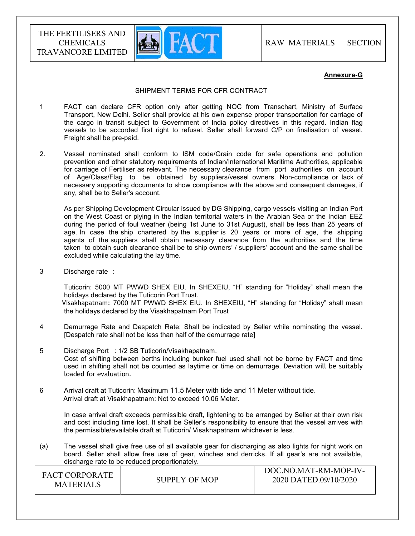

#### Annexure-G

#### SHIPMENT TERMS FOR CFR CONTRACT

- 1 FACT can declare CFR option only after getting NOC from Transchart, Ministry of Surface Transport, New Delhi. Seller shall provide at his own expense proper transportation for carriage of the cargo in transit subject to Government of India policy directives in this regard. Indian flag vessels to be accorded first right to refusal. Seller shall forward C/P on finalisation of vessel. Freight shall be pre-paid.
- 2. Vessel nominated shall conform to ISM code/Grain code for safe operations and pollution prevention and other statutory requirements of Indian/International Maritime Authorities, applicable for carriage of Fertiliser as relevant. The necessary clearance from port authorities on account of Age/Class/Flag to be obtained by suppliers/vessel owners. Non-compliance or lack of necessary supporting documents to show compliance with the above and consequent damages, if any, shall be to Seller's account.

 As per Shipping Development Circular issued by DG Shipping, cargo vessels visiting an Indian Port on the West Coast or plying in the Indian territorial waters in the Arabian Sea or the Indian EEZ during the period of foul weather (being 1st June to 31st August), shall be less than 25 years of age. In case the ship chartered by the supplier is 20 years or more of age, the shipping agents of the suppliers shall obtain necessary clearance from the authorities and the time taken to obtain such clearance shall be to ship owners' / suppliers' account and the same shall be excluded while calculating the lay time.

3 Discharge rate :

 Tuticorin: 5000 MT PWWD SHEX EIU. In SHEXEIU, "H" standing for "Holiday" shall mean the holidays declared by the Tuticorin Port Trust. Visakhapatnam: 7000 MT PWWD SHEX EIU. In SHEXEIU, "H" standing for "Holiday" shall mean the holidays declared by the Visakhapatnam Port Trust

- 4 Demurrage Rate and Despatch Rate: Shall be indicated by Seller while nominating the vessel. [Despatch rate shall not be less than half of the demurrage rate]
- 5 Discharge Port : 1/2 SB Tuticorin/Visakhapatnam. Cost of shifting between berths including bunker fuel used shall not be borne by FACT and time used in shifting shall not be counted as laytime or time on demurrage. Deviation will be suitably loaded for evaluation.
- 6 Arrival draft at Tuticorin: Maximum 11.5 Meter with tide and 11 Meter without tide. Arrival draft at Visakhapatnam: Not to exceed 10.06 Meter.

 In case arrival draft exceeds permissible draft, lightening to be arranged by Seller at their own risk and cost including time lost. It shall be Seller's responsibility to ensure that the vessel arrives with the permissible/available draft at Tuticorin/ Visakhapatnam whichever is less.

(a) The vessel shall give free use of all available gear for discharging as also lights for night work on board. Seller shall allow free use of gear, winches and derricks. If all gear's are not available, discharge rate to be reduced proportionately.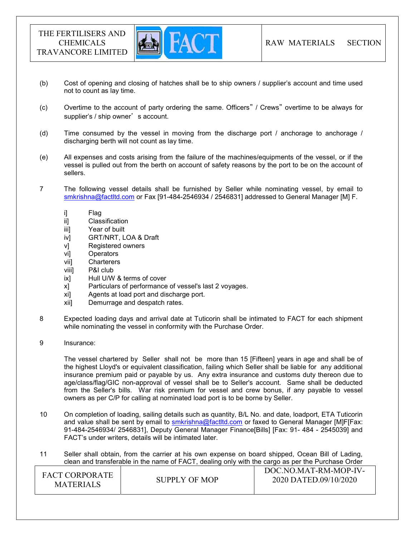

- (b) Cost of opening and closing of hatches shall be to ship owners / supplier's account and time used not to count as lay time.
- (c) Overtime to the account of party ordering the same. Officers" / Crews" overtime to be always for supplier's / ship owner's account.
- (d) Time consumed by the vessel in moving from the discharge port / anchorage to anchorage / discharging berth will not count as lay time.
- (e) All expenses and costs arising from the failure of the machines/equipments of the vessel, or if the vessel is pulled out from the berth on account of safety reasons by the port to be on the account of sellers.
- 7 The following vessel details shall be furnished by Seller while nominating vessel, by email to smkrishna@factltd.com or Fax [91-484-2546934 / 2546831] addressed to General Manager [M] F.
	- i] Flag
	- ii] Classification
	- iii] Year of built
	- iv] GRT/NRT, LOA & Draft
	- v] Registered owners
	- vi] Operators
	- vii] Charterers
	- viii] P&I club
	- ix] Hull U/W & terms of cover
	- x] Particulars of performance of vessel's last 2 voyages.
	- xi] Agents at load port and discharge port.
	- xii] Demurrage and despatch rates.
- 8 Expected loading days and arrival date at Tuticorin shall be intimated to FACT for each shipment while nominating the vessel in conformity with the Purchase Order.
- 9 Insurance:

 The vessel chartered by Seller shall not be more than 15 [Fifteen] years in age and shall be of the highest Lloyd's or equivalent classification, failing which Seller shall be liable for any additional insurance premium paid or payable by us. Any extra insurance and customs duty thereon due to age/class/flag/GIC non-approval of vessel shall be to Seller's account. Same shall be deducted from the Seller's bills. War risk premium for vessel and crew bonus, if any payable to vessel owners as per C/P for calling at nominated load port is to be borne by Seller.

- 10 On completion of loading, sailing details such as quantity, B/L No. and date, loadport, ETA Tuticorin and value shall be sent by email to smkrishna@factltd.com or faxed to General Manager [M]F[Fax: 91-484-2546934/ 2546831], Deputy General Manager Finance[Bills] [Fax: 91- 484 - 2545039] and FACT's under writers, details will be intimated later.
- 11 Seller shall obtain, from the carrier at his own expense on board shipped, Ocean Bill of Lading, clean and transferable in the name of FACT, dealing only with the cargo as per the Purchase Order

| <b>FACT CORPORATE</b><br><b>MATERIALS</b> | SUPPLY OF MOP | DOC.NO.MAT-RM-MOP-IV-<br>2020 DATED.09/10/2020 |
|-------------------------------------------|---------------|------------------------------------------------|
|-------------------------------------------|---------------|------------------------------------------------|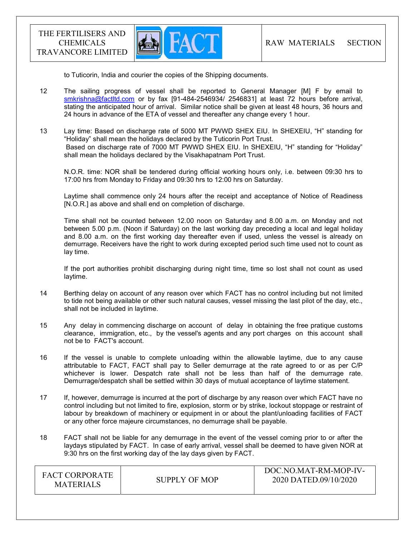

to Tuticorin, India and courier the copies of the Shipping documents.

- 12 The sailing progress of vessel shall be reported to General Manager [M] F by email to smkrishna@factltd.com or by fax [91-484-2546934/ 2546831] at least 72 hours before arrival, stating the anticipated hour of arrival. Similar notice shall be given at least 48 hours, 36 hours and 24 hours in advance of the ETA of vessel and thereafter any change every 1 hour.
- 13 Lay time: Based on discharge rate of 5000 MT PWWD SHEX EIU. In SHEXEIU, "H" standing for "Holiday" shall mean the holidays declared by the Tuticorin Port Trust. Based on discharge rate of 7000 MT PWWD SHEX EIU. In SHEXEIU, "H" standing for "Holiday" shall mean the holidays declared by the Visakhapatnam Port Trust.

 N.O.R. time: NOR shall be tendered during official working hours only, i.e. between 09:30 hrs to 17:00 hrs from Monday to Friday and 09:30 hrs to 12:00 hrs on Saturday.

 Laytime shall commence only 24 hours after the receipt and acceptance of Notice of Readiness [N.O.R.] as above and shall end on completion of discharge.

 Time shall not be counted between 12.00 noon on Saturday and 8.00 a.m. on Monday and not between 5.00 p.m. (Noon if Saturday) on the last working day preceding a local and legal holiday and 8.00 a.m. on the first working day thereafter even if used, unless the vessel is already on demurrage. Receivers have the right to work during excepted period such time used not to count as lay time.

 If the port authorities prohibit discharging during night time, time so lost shall not count as used laytime.

- 14 Berthing delay on account of any reason over which FACT has no control including but not limited to tide not being available or other such natural causes, vessel missing the last pilot of the day, etc., shall not be included in laytime.
- 15 Any delay in commencing discharge on account of delay in obtaining the free pratique customs clearance, immigration, etc., by the vessel's agents and any port charges on this account shall not be to FACT's account.
- 16 If the vessel is unable to complete unloading within the allowable laytime, due to any cause attributable to FACT, FACT shall pay to Seller demurrage at the rate agreed to or as per C/P whichever is lower. Despatch rate shall not be less than half of the demurrage rate. Demurrage/despatch shall be settled within 30 days of mutual acceptance of laytime statement.
- 17 If, however, demurrage is incurred at the port of discharge by any reason over which FACT have no control including but not limited to fire, explosion, storm or by strike, lockout stoppage or restraint of labour by breakdown of machinery or equipment in or about the plant/unloading facilities of FACT or any other force majeure circumstances, no demurrage shall be payable.
- 18 FACT shall not be liable for any demurrage in the event of the vessel coming prior to or after the laydays stipulated by FACT. In case of early arrival, vessel shall be deemed to have given NOR at 9:30 hrs on the first working day of the lay days given by FACT.

| <b>FACT CORPORATE</b><br><b>MATERIALS</b> | SUPPLY OF MOP | DOC.NO.MAT-RM-MOP-IV-<br>2020 DATED.09/10/2020 |
|-------------------------------------------|---------------|------------------------------------------------|
|-------------------------------------------|---------------|------------------------------------------------|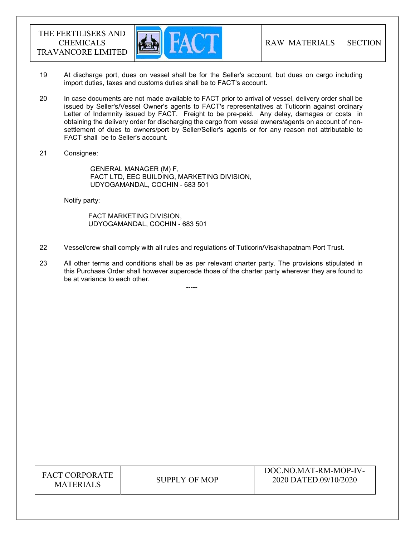

- 19 At discharge port, dues on vessel shall be for the Seller's account, but dues on cargo including import duties, taxes and customs duties shall be to FACT's account.
- 20 In case documents are not made available to FACT prior to arrival of vessel, delivery order shall be issued by Seller's/Vessel Owner's agents to FACT's representatives at Tuticorin against ordinary Letter of Indemnity issued by FACT. Freight to be pre-paid. Any delay, damages or costs in obtaining the delivery order for discharging the cargo from vessel owners/agents on account of nonsettlement of dues to owners/port by Seller/Seller's agents or for any reason not attributable to FACT shall be to Seller's account.
- 21 Consignee:

 GENERAL MANAGER (M) F, FACT LTD, EEC BUILDING, MARKETING DIVISION, UDYOGAMANDAL, COCHIN - 683 501

Notify party:

 FACT MARKETING DIVISION, UDYOGAMANDAL, COCHIN - 683 501

-----

- 22 Vessel/crew shall comply with all rules and regulations of Tuticorin/Visakhapatnam Port Trust.
- 23 All other terms and conditions shall be as per relevant charter party. The provisions stipulated in this Purchase Order shall however supercede those of the charter party wherever they are found to be at variance to each other.

FACT CORPORATE ET CONFONATE SUPPLY OF MOP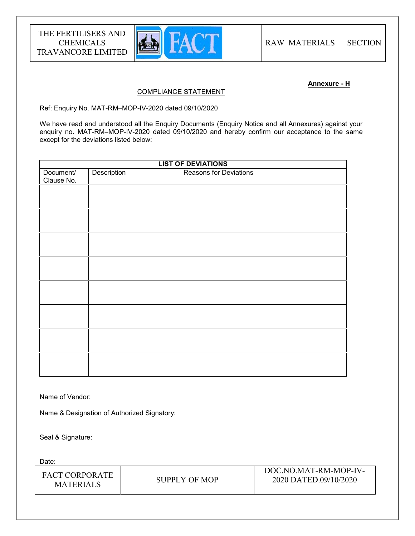

## Annexure - H

## COMPLIANCE STATEMENT

Ref: Enquiry No. MAT-RM–MOP-IV-2020 dated 09/10/2020

We have read and understood all the Enquiry Documents (Enquiry Notice and all Annexures) against your enquiry no. MAT-RM–MOP-IV-2020 dated 09/10/2020 and hereby confirm our acceptance to the same except for the deviations listed below:

| <b>LIST OF DEVIATIONS</b> |             |                        |  |
|---------------------------|-------------|------------------------|--|
| Document/<br>Clause No.   | Description | Reasons for Deviations |  |
|                           |             |                        |  |
|                           |             |                        |  |
|                           |             |                        |  |
|                           |             |                        |  |
|                           |             |                        |  |
|                           |             |                        |  |
|                           |             |                        |  |
|                           |             |                        |  |
|                           |             |                        |  |

Name of Vendor:

Name & Designation of Authorized Signatory:

Seal & Signature:

Date:

| <b>FACT CORPORATE</b><br><b>MATERIALS</b> | SUPPLY OF MOP | DOC.NO.MAT-RM-MOP-IV-<br>2020 DATED.09/10/2020 |
|-------------------------------------------|---------------|------------------------------------------------|
|-------------------------------------------|---------------|------------------------------------------------|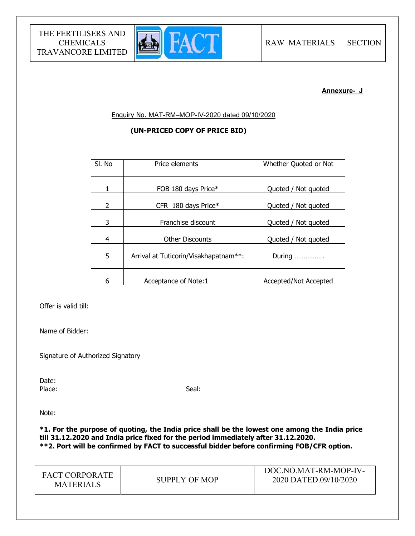

## Annexure- J

Enquiry No. MAT-RM–MOP-IV-2020 dated 09/10/2020

## (UN-PRICED COPY OF PRICE BID)

| SI. No | Price elements                        | Whether Quoted or Not |
|--------|---------------------------------------|-----------------------|
|        | FOB 180 days Price*                   | Quoted / Not quoted   |
| 2      | CFR 180 days Price*                   | Quoted / Not quoted   |
| 3      | Franchise discount                    | Quoted / Not quoted   |
| 4      | <b>Other Discounts</b>                | Quoted / Not quoted   |
| 5      | Arrival at Tuticorin/Visakhapatnam**: | During                |
| 6      | Acceptance of Note:1                  | Accepted/Not Accepted |

Offer is valid till:

Name of Bidder:

Signature of Authorized Signatory

Date:<br>Place: Place: Seal: Seal: Seal: Seal: Seal: Seal: Seal: Seal: Seal: Seal: Seal: Seal: Seal: Seal: Seal: Seal: Seal: Seal: Seal: Seal: Seal: Seal: Seal: Seal: Seal: Seal: Seal: Seal: Seal: Seal: Seal: Seal: Seal: Seal: Seal: Seal:

Note:

\*1. For the purpose of quoting, the India price shall be the lowest one among the India price till 31.12.2020 and India price fixed for the period immediately after 31.12.2020. \*\*2. Port will be confirmed by FACT to successful bidder before confirming FOB/CFR option.

| <b>FACT CORPORATE</b><br>SUPPLY OF MOP<br><b>MATERIALS</b> | DOC.NO.MAT-RM-MOP-IV-<br>2020 DATED.09/10/2020 |
|------------------------------------------------------------|------------------------------------------------|
|------------------------------------------------------------|------------------------------------------------|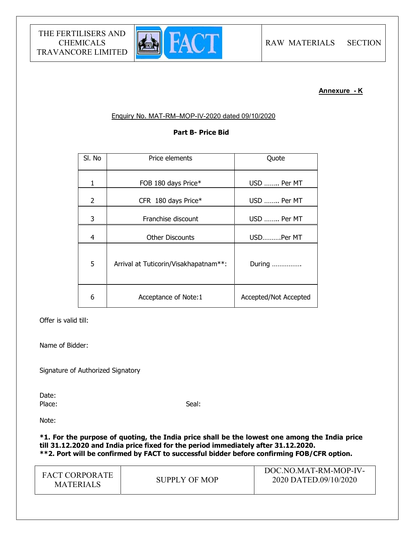

## Annexure - K

## Enquiry No. MAT-RM–MOP-IV-2020 dated 09/10/2020

## Part B- Price Bid

| SI. No | Price elements                        | Quote                 |
|--------|---------------------------------------|-----------------------|
| 1      | FOB 180 days Price*                   | USD  Per MT           |
| 2      | CFR 180 days Price*                   | USD  Per MT           |
| 3      | Franchise discount                    | USD  Per MT           |
| 4      | <b>Other Discounts</b>                | USDPer MT             |
| 5      | Arrival at Tuticorin/Visakhapatnam**: | During                |
| 6      | Acceptance of Note:1                  | Accepted/Not Accepted |

Offer is valid till:

Name of Bidder:

Signature of Authorized Signatory

Date: Place: Seal: Seal: Seal: Seal: Seal: Seal: Seal: Seal: Seal: Seal: Seal: Seal: Seal: Seal: Seal: Seal: Seal: Seal: Seal: Seal: Seal: Seal: Seal: Seal: Seal: Seal: Seal: Seal: Seal: Seal: Seal: Seal: Seal: Seal: Seal: Seal:

Note:

\*1. For the purpose of quoting, the India price shall be the lowest one among the India price till 31.12.2020 and India price fixed for the period immediately after 31.12.2020. \*\*2. Port will be confirmed by FACT to successful bidder before confirming FOB/CFR option.

| <b>FACT CORPORATE</b><br><b>MATERIALS</b> | SUPPLY OF MOP | DOC.NO.MAT-RM-MOP-IV-<br>2020 DATED.09/10/2020 |
|-------------------------------------------|---------------|------------------------------------------------|
|-------------------------------------------|---------------|------------------------------------------------|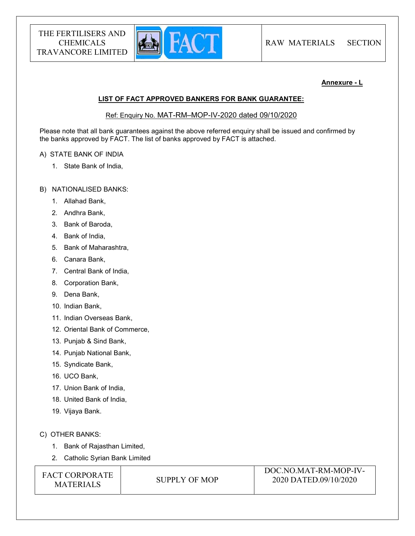

## Annexure - L

#### LIST OF FACT APPROVED BANKERS FOR BANK GUARANTEE:

Ref: Enquiry No. MAT-RM–MOP-IV-2020 dated 09/10/2020

Please note that all bank guarantees against the above referred enquiry shall be issued and confirmed by the banks approved by FACT. The list of banks approved by FACT is attached.

## A) STATE BANK OF INDIA

1. State Bank of India,

## B) NATIONALISED BANKS:

- 1. Allahad Bank,
- 2. Andhra Bank,
- 3. Bank of Baroda,
- 4. Bank of India,
- 5. Bank of Maharashtra,
- 6. Canara Bank,
- 7. Central Bank of India,
- 8. Corporation Bank,
- 9. Dena Bank,
- 10. Indian Bank,
- 11. Indian Overseas Bank,
- 12. Oriental Bank of Commerce,
- 13. Punjab & Sind Bank,
- 14. Punjab National Bank,
- 15. Syndicate Bank,
- 16. UCO Bank,
- 17. Union Bank of India,
- 18. United Bank of India,
- 19. Vijaya Bank.

## C) OTHER BANKS:

- 1. Bank of Rajasthan Limited,
- 2. Catholic Syrian Bank Limited

FACT CORPORATE ET CONFONATE SUPPLY OF MOP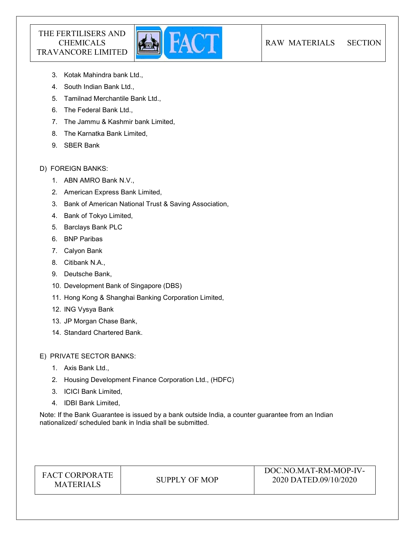

- 3. Kotak Mahindra bank Ltd.,
- 4. South Indian Bank Ltd.,
- 5. Tamilnad Merchantile Bank Ltd.,
- 6. The Federal Bank Ltd.,
- 7. The Jammu & Kashmir bank Limited,
- 8. The Karnatka Bank Limited,
- 9. SBER Bank

## D) FOREIGN BANKS:

- 1. ABN AMRO Bank N.V.,
- 2. American Express Bank Limited,
- 3. Bank of American National Trust & Saving Association,
- 4. Bank of Tokyo Limited,
- 5. Barclays Bank PLC
- 6. BNP Paribas
- 7. Calyon Bank
- 8. Citibank N.A.,
- 9. Deutsche Bank,
- 10. Development Bank of Singapore (DBS)
- 11. Hong Kong & Shanghai Banking Corporation Limited,
- 12. ING Vysya Bank
- 13. JP Morgan Chase Bank,
- 14. Standard Chartered Bank.

E) PRIVATE SECTOR BANKS:

- 1. Axis Bank Ltd.,
- 2. Housing Development Finance Corporation Ltd., (HDFC)
- 3. ICICI Bank Limited,
- 4. IDBI Bank Limited,

Note: If the Bank Guarantee is issued by a bank outside India, a counter guarantee from an Indian nationalized/ scheduled bank in India shall be submitted.

| <b>FACT CORPORATE</b> |
|-----------------------|
| <b>MATERIALS</b>      |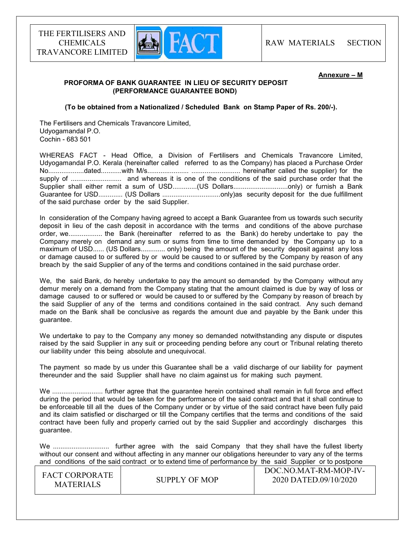

#### Annexure – M

## PROFORMA OF BANK GUARANTEE IN LIEU OF SECURITY DEPOSIT (PERFORMANCE GUARANTEE BOND)

(To be obtained from a Nationalized / Scheduled Bank on Stamp Paper of Rs. 200/-).

The Fertilisers and Chemicals Travancore Limited, Udyogamandal P.O. Cochin - 683 501

WHEREAS FACT - Head Office, a Division of Fertilisers and Chemicals Travancore Limited, Udyogamandal P.O. Kerala (hereinafter called referred to as the Company) has placed a Purchase Order No...................dated...........with M/s...................... .......................... hereinafter called the supplier) for the supply of ........................... and whereas it is one of the conditions of the said purchase order that the Supplier shall either remit a sum of USD.............(US Dollars.............................only) or furnish a Bank Guarantee for USD............. (US Dollars ...............................only)as security deposit for the due fulfillment of the said purchase order by the said Supplier.

In consideration of the Company having agreed to accept a Bank Guarantee from us towards such security deposit in lieu of the cash deposit in accordance with the terms and conditions of the above purchase order, we.................. the Bank (hereinafter referred to as the Bank) do hereby undertake to pay the Company merely on demand any sum or sums from time to time demanded by the Company up to a maximum of USD...... (US Dollars............. only) being the amount of the security deposit against any loss or damage caused to or suffered by or would be caused to or suffered by the Company by reason of any breach by the said Supplier of any of the terms and conditions contained in the said purchase order.

We, the said Bank, do hereby undertake to pay the amount so demanded by the Company without any demur merely on a demand from the Company stating that the amount claimed is due by way of loss or damage caused to or suffered or would be caused to or suffered by the Company by reason of breach by the said Supplier of any of the terms and conditions contained in the said contract. Any such demand made on the Bank shall be conclusive as regards the amount due and payable by the Bank under this guarantee.

We undertake to pay to the Company any money so demanded notwithstanding any dispute or disputes raised by the said Supplier in any suit or proceeding pending before any court or Tribunal relating thereto our liability under this being absolute and unequivocal.

The payment so made by us under this Guarantee shall be a valid discharge of our liability for payment thereunder and the said Supplier shall have no claim against us for making such payment.

We ............................... further agree that the quarantee herein contained shall remain in full force and effect during the period that would be taken for the performance of the said contract and that it shall continue to be enforceable till all the dues of the Company under or by virtue of the said contract have been fully paid and its claim satisfied or discharged or till the Company certifies that the terms and conditions of the said contract have been fully and properly carried out by the said Supplier and accordingly discharges this guarantee.

We .............................. further agree with the said Company that they shall have the fullest liberty without our consent and without affecting in any manner our obligations hereunder to vary any of the terms and conditions of the said contract or to extend time of performance by the said Supplier or to postpone

| <b>FACT CORPORATE</b><br><b>MATERIALS</b> | SUPPLY OF MOP | DOC.NO.MAT-RM-MOP-IV-<br>2020 DATED.09/10/2020 |
|-------------------------------------------|---------------|------------------------------------------------|
|-------------------------------------------|---------------|------------------------------------------------|